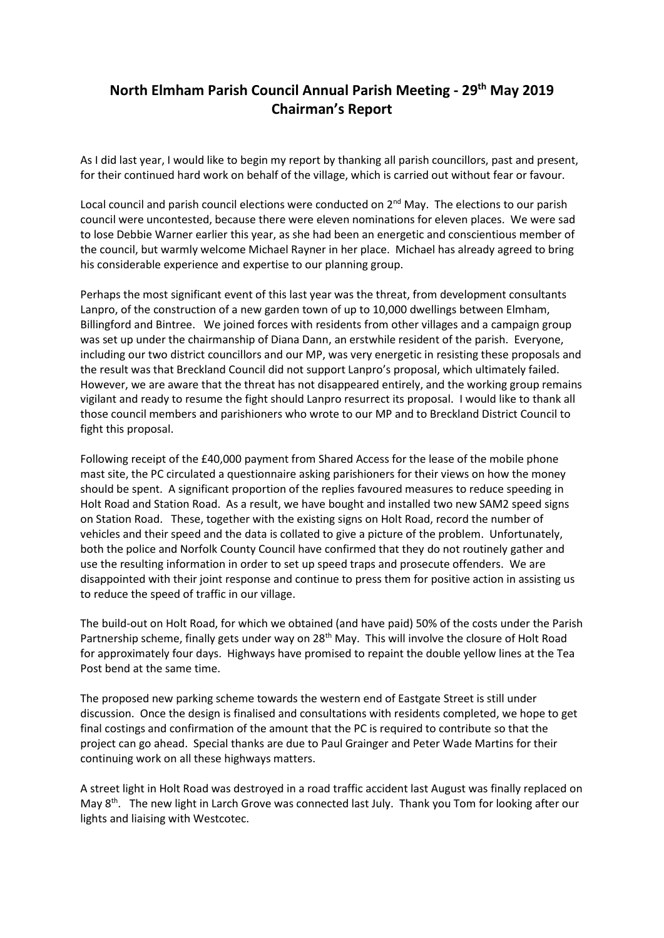## **North Elmham Parish Council Annual Parish Meeting - 29th May 2019 Chairman's Report**

As I did last year, I would like to begin my report by thanking all parish councillors, past and present, for their continued hard work on behalf of the village, which is carried out without fear or favour.

Local council and parish council elections were conducted on  $2^{nd}$  May. The elections to our parish council were uncontested, because there were eleven nominations for eleven places. We were sad to lose Debbie Warner earlier this year, as she had been an energetic and conscientious member of the council, but warmly welcome Michael Rayner in her place. Michael has already agreed to bring his considerable experience and expertise to our planning group.

Perhaps the most significant event of this last year was the threat, from development consultants Lanpro, of the construction of a new garden town of up to 10,000 dwellings between Elmham, Billingford and Bintree. We joined forces with residents from other villages and a campaign group was set up under the chairmanship of Diana Dann, an erstwhile resident of the parish. Everyone, including our two district councillors and our MP, was very energetic in resisting these proposals and the result was that Breckland Council did not support Lanpro's proposal, which ultimately failed. However, we are aware that the threat has not disappeared entirely, and the working group remains vigilant and ready to resume the fight should Lanpro resurrect its proposal. I would like to thank all those council members and parishioners who wrote to our MP and to Breckland District Council to fight this proposal.

Following receipt of the £40,000 payment from Shared Access for the lease of the mobile phone mast site, the PC circulated a questionnaire asking parishioners for their views on how the money should be spent. A significant proportion of the replies favoured measures to reduce speeding in Holt Road and Station Road. As a result, we have bought and installed two new SAM2 speed signs on Station Road. These, together with the existing signs on Holt Road, record the number of vehicles and their speed and the data is collated to give a picture of the problem. Unfortunately, both the police and Norfolk County Council have confirmed that they do not routinely gather and use the resulting information in order to set up speed traps and prosecute offenders. We are disappointed with their joint response and continue to press them for positive action in assisting us to reduce the speed of traffic in our village.

The build-out on Holt Road, for which we obtained (and have paid) 50% of the costs under the Parish Partnership scheme, finally gets under way on 28<sup>th</sup> May. This will involve the closure of Holt Road for approximately four days. Highways have promised to repaint the double yellow lines at the Tea Post bend at the same time.

The proposed new parking scheme towards the western end of Eastgate Street is still under discussion. Once the design is finalised and consultations with residents completed, we hope to get final costings and confirmation of the amount that the PC is required to contribute so that the project can go ahead. Special thanks are due to Paul Grainger and Peter Wade Martins for their continuing work on all these highways matters.

A street light in Holt Road was destroyed in a road traffic accident last August was finally replaced on May 8<sup>th</sup>. The new light in Larch Grove was connected last July. Thank you Tom for looking after our lights and liaising with Westcotec.